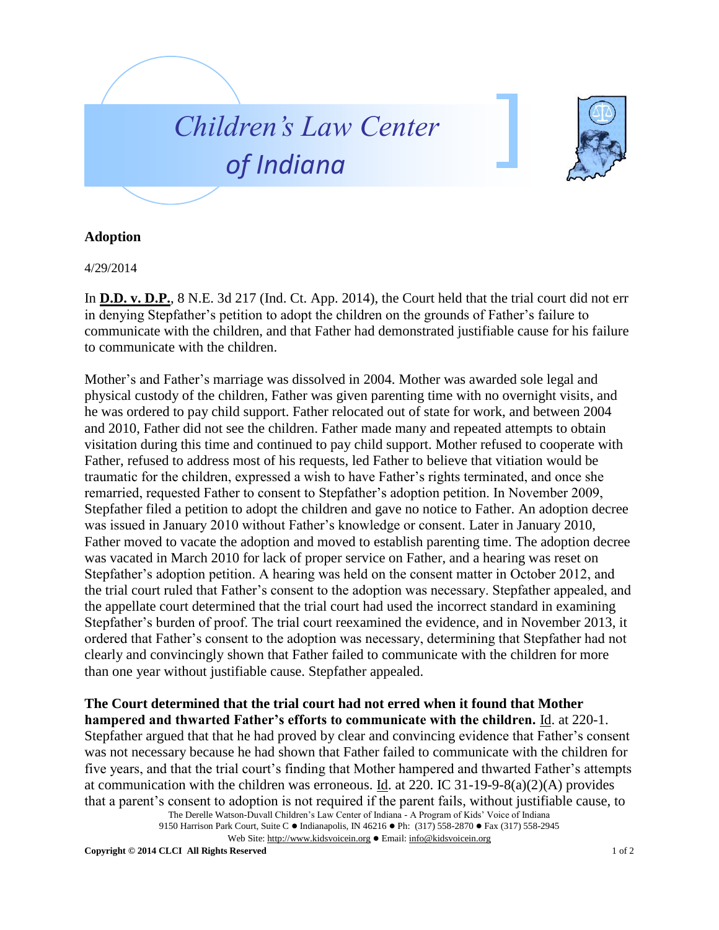



## **Adoption**

4/29/2014

In **D.D. v. D.P.**, 8 N.E. 3d 217 (Ind. Ct. App. 2014), the Court held that the trial court did not err in denying Stepfather's petition to adopt the children on the grounds of Father's failure to communicate with the children, and that Father had demonstrated justifiable cause for his failure to communicate with the children.

Mother's and Father's marriage was dissolved in 2004. Mother was awarded sole legal and physical custody of the children, Father was given parenting time with no overnight visits, and he was ordered to pay child support. Father relocated out of state for work, and between 2004 and 2010, Father did not see the children. Father made many and repeated attempts to obtain visitation during this time and continued to pay child support. Mother refused to cooperate with Father, refused to address most of his requests, led Father to believe that vitiation would be traumatic for the children, expressed a wish to have Father's rights terminated, and once she remarried, requested Father to consent to Stepfather's adoption petition. In November 2009, Stepfather filed a petition to adopt the children and gave no notice to Father. An adoption decree was issued in January 2010 without Father's knowledge or consent. Later in January 2010, Father moved to vacate the adoption and moved to establish parenting time. The adoption decree was vacated in March 2010 for lack of proper service on Father, and a hearing was reset on Stepfather's adoption petition. A hearing was held on the consent matter in October 2012, and the trial court ruled that Father's consent to the adoption was necessary. Stepfather appealed, and the appellate court determined that the trial court had used the incorrect standard in examining Stepfather's burden of proof. The trial court reexamined the evidence, and in November 2013, it ordered that Father's consent to the adoption was necessary, determining that Stepfather had not clearly and convincingly shown that Father failed to communicate with the children for more than one year without justifiable cause. Stepfather appealed.

## **The Court determined that the trial court had not erred when it found that Mother hampered and thwarted Father's efforts to communicate with the children.** Id. at 220-1.

Stepfather argued that that he had proved by clear and convincing evidence that Father's consent was not necessary because he had shown that Father failed to communicate with the children for five years, and that the trial court's finding that Mother hampered and thwarted Father's attempts at communication with the children was erroneous. Id. at 220. IC 31-19-9-8(a)(2)(A) provides that a parent's consent to adoption is not required if the parent fails, without justifiable cause, to

The Derelle Watson-Duvall Children's Law Center of Indiana - A Program of Kids' Voice of Indiana 9150 Harrison Park Court, Suite C · Indianapolis, IN 46216 · Ph: (317) 558-2870 · Fax (317) 558-2945